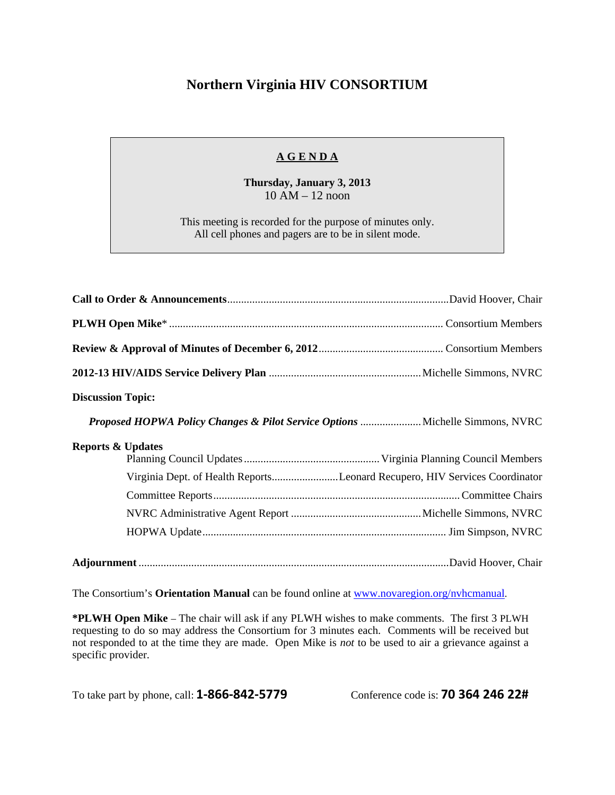## **Northern Virginia HIV CONSORTIUM**

## **A G E N D A**

**Thursday, January 3, 2013**  10 AM – 12 noon

This meeting is recorded for the purpose of minutes only. All cell phones and pagers are to be in silent mode.

| <b>Discussion Topic:</b>                                                      |                                                                            |
|-------------------------------------------------------------------------------|----------------------------------------------------------------------------|
| Proposed HOPWA Policy Changes & Pilot Service Options  Michelle Simmons, NVRC |                                                                            |
| <b>Reports &amp; Updates</b>                                                  |                                                                            |
|                                                                               | Virginia Dept. of Health ReportsLeonard Recupero, HIV Services Coordinator |
|                                                                               |                                                                            |
|                                                                               |                                                                            |
|                                                                               |                                                                            |
|                                                                               |                                                                            |

The Consortium's **Orientation Manual** can be found online at www.novaregion.org/nvhcmanual.

**\*PLWH Open Mike** – The chair will ask if any PLWH wishes to make comments. The first 3 PLWH requesting to do so may address the Consortium for 3 minutes each. Comments will be received but not responded to at the time they are made. Open Mike is *not* to be used to air a grievance against a specific provider.

To take part by phone, call: **1‐866‐842‐5779** Conference code is: **70 364 246 22#**